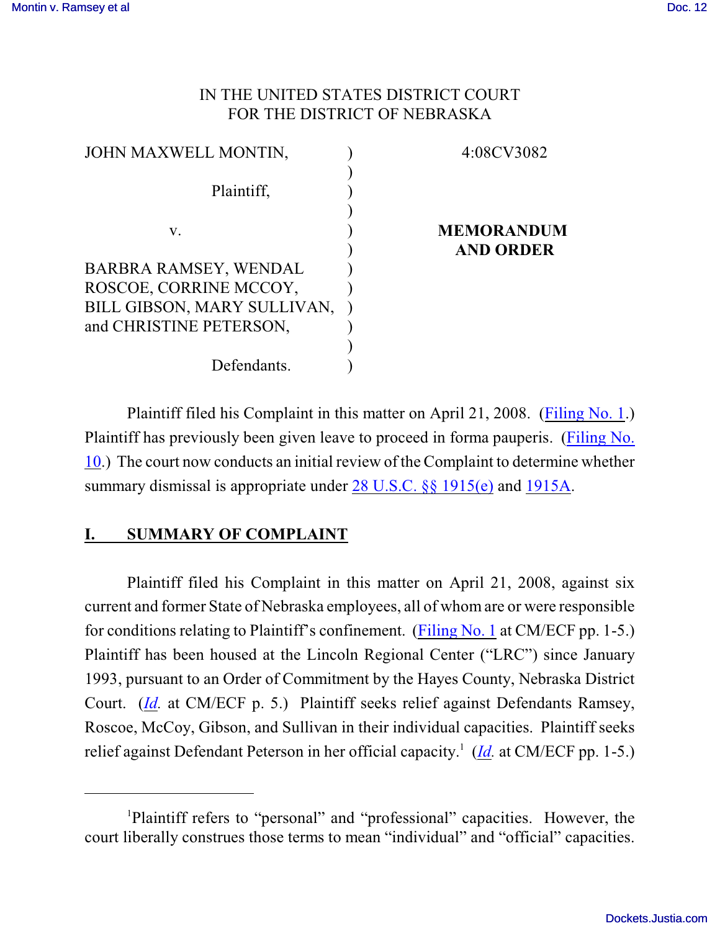## IN THE UNITED STATES DISTRICT COURT FOR THE DISTRICT OF NEBRASKA

| JOHN MAXWELL MONTIN,        | 4:08CV3082        |
|-----------------------------|-------------------|
|                             |                   |
| Plaintiff,                  |                   |
|                             |                   |
| V.                          | <b>MEMORANDUM</b> |
|                             | <b>AND ORDER</b>  |
| BARBRA RAMSEY, WENDAL       |                   |
| ROSCOE, CORRINE MCCOY,      |                   |
| BILL GIBSON, MARY SULLIVAN, |                   |
| and CHRISTINE PETERSON,     |                   |
|                             |                   |
| Defendants.                 |                   |

Plaintiff filed his Complaint in this matter on April 21, 2008. [\(Filing No. 1](https://ecf.ned.uscourts.gov/doc1/11301428667).) Plaintiff has previously been given leave to proceed in forma pauperis. [\(Filing No.](https://ecf.ned.uscourts.gov/doc1/11301447874) [10](https://ecf.ned.uscourts.gov/doc1/11301447874).) The court now conducts an initial review of the Complaint to determine whether summary dismissal is appropriate under [28 U.S.C. §§ 1915\(e\)](http://web2.westlaw.com/find/default.wl?rs=CLWP3.0&vr=2.0&cite=28+USCA+s+1915%28e%29%282%29%28B%29&ssl=n) and [1915A](http://web2.westlaw.com/find/default.wl?bhcp=1&cite=28+USCA+s+1915A&FN=%5Ftop&rs=CLWP3%2E0&ssl=y&strRecreate=no&sv=Split&vr=2%2E0).

## **I. SUMMARY OF COMPLAINT**

Plaintiff filed his Complaint in this matter on April 21, 2008, against six current and former State of Nebraska employees, all of whom are or were responsible for conditions relating to Plaintiff's confinement. [\(Filing No. 1](https://ecf.ned.uscourts.gov/doc1/11301428667) at CM/ECF pp. 1-5.) Plaintiff has been housed at the Lincoln Regional Center ("LRC") since January 1993, pursuant to an Order of Commitment by the Hayes County, Nebraska District Court. (*[Id](https://ecf.ned.uscourts.gov/doc1/11301428667).* at CM/ECF p. 5.) Plaintiff seeks relief against Defendants Ramsey, Roscoe, McCoy, Gibson, and Sullivan in their individual capacities. Plaintiff seeks relief against Defendant Peterson in her official capacity.<sup>1</sup> ([Id](https://ecf.ned.uscourts.gov/doc1/11301428667). at CM/ECF pp. 1-5.)

<sup>&</sup>lt;sup>1</sup>Plaintiff refers to "personal" and "professional" capacities. However, the court liberally construes those terms to mean "individual" and "official" capacities.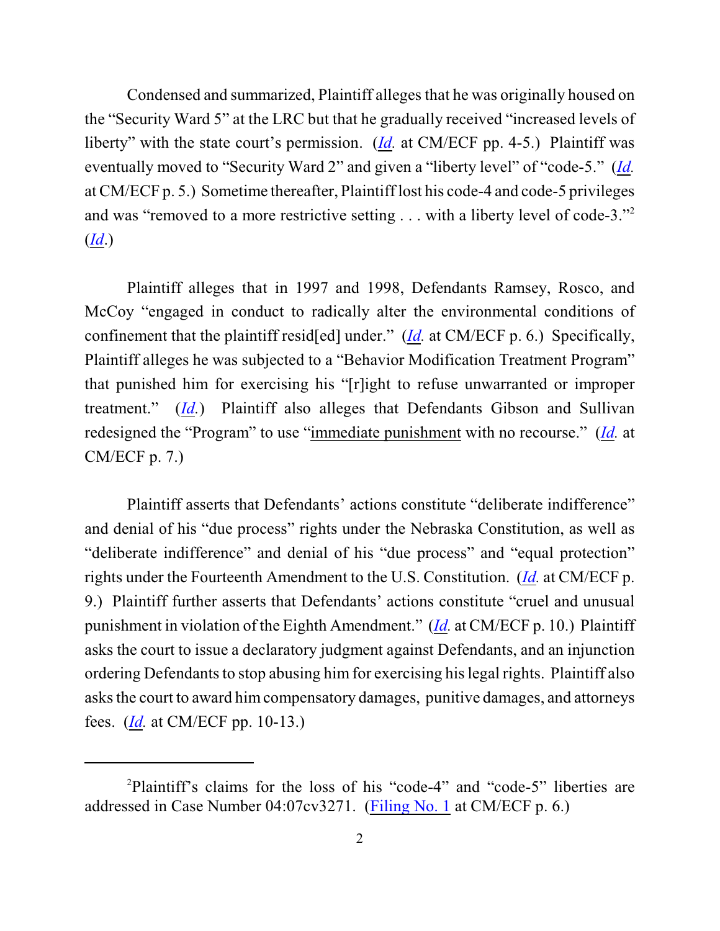Condensed and summarized, Plaintiff alleges that he was originally housed on the "Security Ward 5" at the LRC but that he gradually received "increased levels of liberty" with the state court's permission. (*[Id](https://ecf.ned.uscourts.gov/doc1/11301428667).* at CM/ECF pp. 4-5.) Plaintiff was eventually moved to "Security Ward 2" and given a "liberty level" of "code-5." (*[Id](https://ecf.ned.uscourts.gov/doc1/11301428667).* at CM/ECF p. 5.) Sometime thereafter, Plaintiff lost his code-4 and code-5 privileges and was "removed to a more restrictive setting . . . with a liberty level of code-3."<sup>2</sup> (*[Id](https://ecf.ned.uscourts.gov/doc1/11301428667)*.)

Plaintiff alleges that in 1997 and 1998, Defendants Ramsey, Rosco, and McCoy "engaged in conduct to radically alter the environmental conditions of confinement that the plaintiff resid[ed] under." (*[Id](https://ecf.ned.uscourts.gov/doc1/11301428667).* at CM/ECF p. 6.) Specifically, Plaintiff alleges he was subjected to a "Behavior Modification Treatment Program" that punished him for exercising his "[r]ight to refuse unwarranted or improper treatment." (*[Id](https://ecf.ned.uscourts.gov/doc1/11301428667).*) Plaintiff also alleges that Defendants Gibson and Sullivan redesigned the "Program" to use "immediate punishment with no recourse." (*[Id](https://ecf.ned.uscourts.gov/doc1/11301428667).* at CM/ECF p. 7.)

Plaintiff asserts that Defendants' actions constitute "deliberate indifference" and denial of his "due process" rights under the Nebraska Constitution, as well as "deliberate indifference" and denial of his "due process" and "equal protection" rights under the Fourteenth Amendment to the U.S. Constitution. (*[Id](https://ecf.ned.uscourts.gov/doc1/11301428667).* at CM/ECF p. 9.) Plaintiff further asserts that Defendants' actions constitute "cruel and unusual punishment in violation of the Eighth Amendment." (*[Id](https://ecf.ned.uscourts.gov/doc1/11301428667).* at CM/ECF p. 10.) Plaintiff asks the court to issue a declaratory judgment against Defendants, and an injunction ordering Defendants to stop abusing himfor exercising hislegal rights. Plaintiff also asks the court to award him compensatory damages, punitive damages, and attorneys fees. (*[Id](https://ecf.ned.uscourts.gov/doc1/11301428667).* at CM/ECF pp. 10-13.)

<sup>&</sup>lt;sup>2</sup>Plaintiff's claims for the loss of his "code-4" and "code-5" liberties are addressed in Case Number 04:07cv3271. [\(Filing No. 1](https://ecf.ned.uscourts.gov/doc1/11301428667) at CM/ECF p. 6.)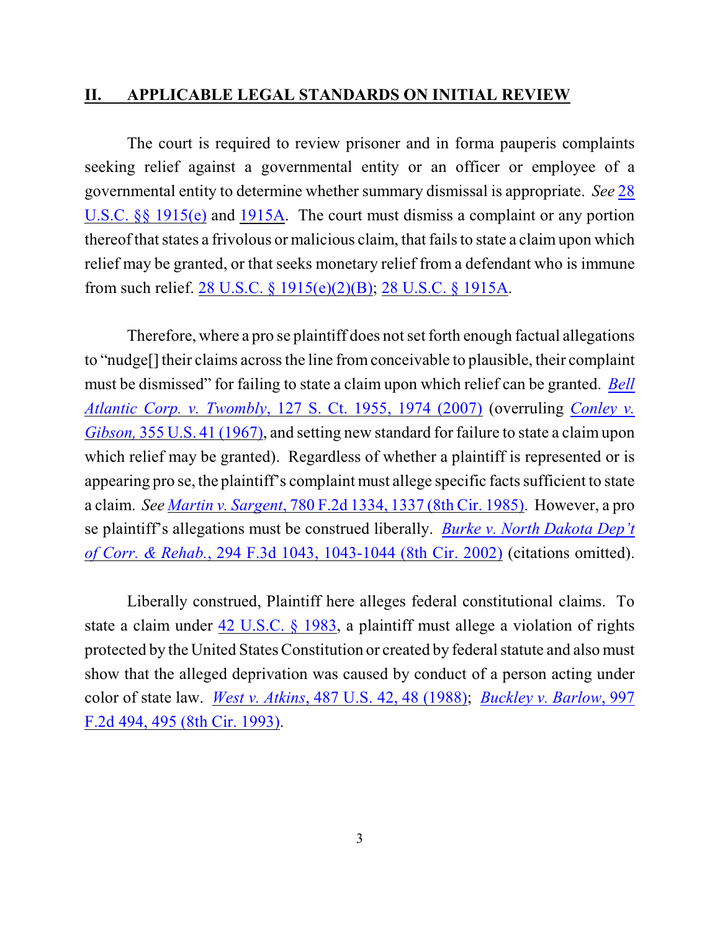#### **II. APPLICABLE LEGAL STANDARDS ON INITIAL REVIEW**

The court is required to review prisoner and in forma pauperis complaints seeking relief against a governmental entity or an officer or employee of a governmental entity to determine whether summary dismissal is appropriate. *See* [28](http://www.westlaw.com/find/default.wl?rs=CLWP3.0&vr=2.0&cite=28+USCA+ss+1915%28e%29) [U.S.C. §§ 1915\(e\)](http://www.westlaw.com/find/default.wl?rs=CLWP3.0&vr=2.0&cite=28+USCA+ss+1915%28e%29) and [1915A](http://web2.westlaw.com/find/default.wl?fn=_top&rs=WLW8.04&rp=%2ffind%2fdefault.wl&vr=2.0&cite=28+USC+section+1915A). The court must dismiss a complaint or any portion thereof that states a frivolous or malicious claim, that fails to state a claim upon which relief may be granted, or that seeks monetary relief from a defendant who is immune from such relief. [28 U.S.C. § 1915\(e\)\(2\)\(B\)](http://www.westlaw.com/find/default.wl?rs=CLWP3.0&vr=2.0&cite=28+USCA+s+1915%28e%29%282%29%28B%29); [28 U.S.C. § 1915A](http://www.westlaw.com/find/default.wl?rs=CLWP3.0&vr=2.0&cite=28+USCA+s+1915A).

Therefore, where a pro se plaintiff does not set forth enough factual allegations to "nudge[] their claims across the line fromconceivable to plausible, their complaint must be dismissed" for failing to state a claim upon which relief can be granted. *[Bell](http://www.westlaw.com/find/default.wl?rs=CLWP3.0&vr=2.0&cite=127+S.Ct.+1955) Atlantic Corp. v. Twombly*[, 127 S. Ct. 1955, 1974 \(2007\)](http://www.westlaw.com/find/default.wl?rs=CLWP3.0&vr=2.0&cite=127+S.Ct.+1955) (overruling *[Conley v.](http://web2.westlaw.com/find/default.wl?fn=_top&rs=WLW8.04&rp=%2ffind%2fdefault.wl&vr=2.0&cite=355+U.S.+41) Gibson,* [355 U.S. 41 \(1967\)](http://web2.westlaw.com/find/default.wl?fn=_top&rs=WLW8.04&rp=%2ffind%2fdefault.wl&vr=2.0&cite=355+U.S.+41), and setting new standard for failure to state a claim upon which relief may be granted). Regardless of whether a plaintiff is represented or is appearing pro se, the plaintiff's complaint must allege specific facts sufficient to state a claim. *See [Martin v. Sargent](http://www.westlaw.com/find/default.wl?rs=CLWP3.0&vr=2.0&cite=780+F.2d+1334)*, 780 F.2d 1334, 1337 (8th Cir. 1985). However, a pro se plaintiff's allegations must be construed liberally. *[Burke v. North Dakota Dep't](http://www.westlaw.com/find/default.wl?rs=CLWP3.0&vr=2.0&cite=294+F.3d+1043) [of Corr. & Rehab.](http://www.westlaw.com/find/default.wl?rs=CLWP3.0&vr=2.0&cite=294+F.3d+1043)*, 294 F.3d 1043, 1043-1044 (8th Cir. 2002) (citations omitted).

Liberally construed, Plaintiff here alleges federal constitutional claims. To state a claim under [42 U.S.C. § 1983](http://www.westlaw.com/find/default.wl?rs=CLWP3.0&vr=2.0&cite=42+USCA+s+1983), a plaintiff must allege a violation of rights protected by the United States Constitution or created by federal statute and also must show that the alleged deprivation was caused by conduct of a person acting under color of state law. *West v. Atkins*, 487 [U.S. 42, 48 \(1988\)](http://www.westlaw.com/find/default.wl?rs=CLWP3.0&vr=2.0&cite=487+U.S.+42); *[Buckley v. Barlow](http://www.westlaw.com/find/default.wl?rs=CLWP3.0&vr=2.0&cite=997+F.2d+494)*, 997 [F.2d 494, 495 \(8th Cir. 1993\)](http://www.westlaw.com/find/default.wl?rs=CLWP3.0&vr=2.0&cite=997+F.2d+494).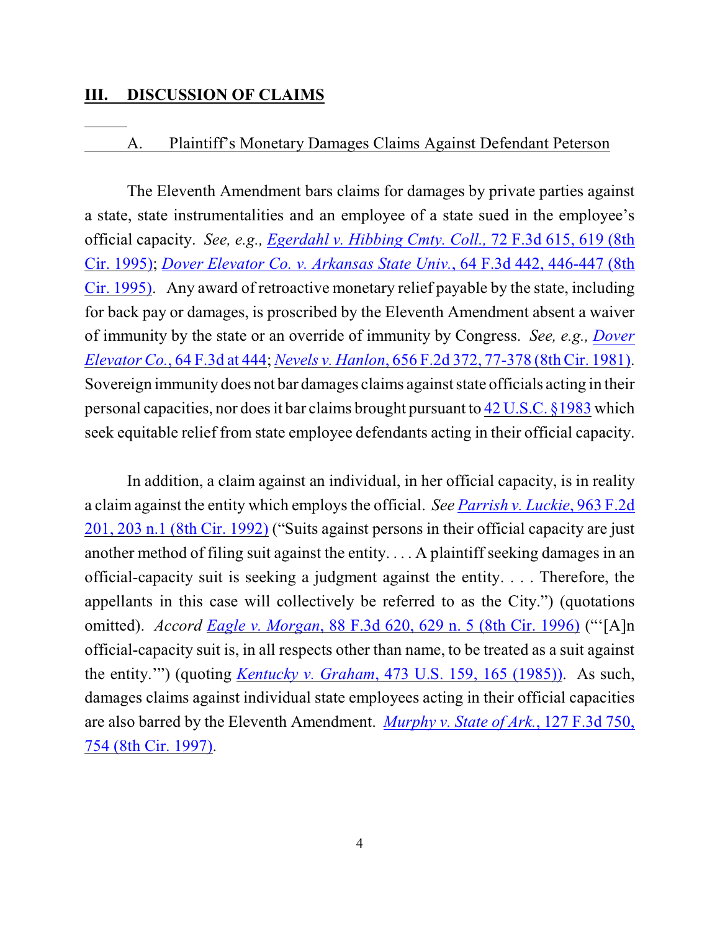# **III. DISCUSSION OF CLAIMS**

### A. Plaintiff's Monetary Damages Claims Against Defendant Peterson

The Eleventh Amendment bars claims for damages by private parties against a state, state instrumentalities and an employee of a state sued in the employee's official capacity. *See, e.g., [Egerdahl v. Hibbing Cmty. Coll.,](http://www.westlaw.com/find/default.wl?rs=CLWP3.0&vr=2.0&cite=72+F.3d+615)* 72 F.3d 615, 619 (8th [Cir. 1995\)](http://www.westlaw.com/find/default.wl?rs=CLWP3.0&vr=2.0&cite=72+F.3d+615); *[Dover Elevator Co. v. Arkansas State Univ.](http://www.westlaw.com/find/default.wl?rs=CLWP3.0&vr=2.0&cite=64+F.3d+442)*, 64 F.3d 442, 446-447 (8th [Cir. 1995\)](http://www.westlaw.com/find/default.wl?rs=CLWP3.0&vr=2.0&cite=64+F.3d+442). Any award of retroactive monetary relief payable by the state, including for back pay or damages, is proscribed by the Eleventh Amendment absent a waiver of immunity by the state or an override of immunity by Congress. *See, e.g., [Dover](http://www.westlaw.com/find/default.wl?rs=CLWP3.0&vr=2.0&cite=64+F.3d+444) Elevator Co.*[, 64 F.3d at 444](http://www.westlaw.com/find/default.wl?rs=CLWP3.0&vr=2.0&cite=64+F.3d+444); *Nevels v. Hanlon*, 656 F.2d 372, [77-378 \(8th Cir. 1981\)](http://www.westlaw.com/find/default.wl?rs=CLWP3.0&vr=2.0&cite=656+F.2d+372). Sovereign immunity does not bar damages claims against state officials acting in their personal capacities, nor does it bar claims brought pursuant to [42 U.S.C. §1983](http://www.westlaw.com/find/default.wl?rs=CLWP3.0&vr=2.0&cite=42+USCA+s1983) which seek equitable relief from state employee defendants acting in their official capacity.

In addition, a claim against an individual, in her official capacity, is in reality a claim against the entity which employs the official. *See [Parrish v. Luckie](http://www.westlaw.com/find/default.wl?rs=CLWP3.0&vr=2.0&cite=963+F.2d+201)*, 963 F.2d [201, 203 n.1 \(8th Cir. 1992\)](http://www.westlaw.com/find/default.wl?rs=CLWP3.0&vr=2.0&cite=963+F.2d+201) ("Suits against persons in their official capacity are just another method of filing suit against the entity. . . . A plaintiff seeking damages in an official-capacity suit is seeking a judgment against the entity. . . . Therefore, the appellants in this case will collectively be referred to as the City.") (quotations omitted). *Accord Eagle v. Morgan*[, 88 F.3d 620, 629 n. 5 \(8th Cir. 1996\)](http://web2.westlaw.com/find/default.wl?rs=CLWP3.0&vr=2.0&cite=88+F.3d+620&ssl=n) ("'[A]n official-capacity suit is, in all respects other than name, to be treated as a suit against the entity.'") (quoting *Kentucky v. Graham*[, 473 U.S. 159, 165 \(1985\)\)](http://web2.westlaw.com/find/default.wl?tf=-1&rs=WLW8.05&referencepositiontype=S&serialnum=1985133039&fn=_top&findtype=Y&tc=-1&referenceposition=3105&db=708&vr=2.0&rp=%2ffind%2fdefault.wl&RLT=CLID_FQRLT6212136&TF=756&TC=1&n=1). As such, damages claims against individual state employees acting in their official capacities are also barred by the Eleventh Amendment. *Murphy v. State of Ark.*[, 127 F.3d 750,](http://www.westlaw.com/find/default.wl?rs=CLWP3.0&vr=2.0&cite=127+F.3d+750) [754 \(8th Cir. 1997\)](http://www.westlaw.com/find/default.wl?rs=CLWP3.0&vr=2.0&cite=127+F.3d+750).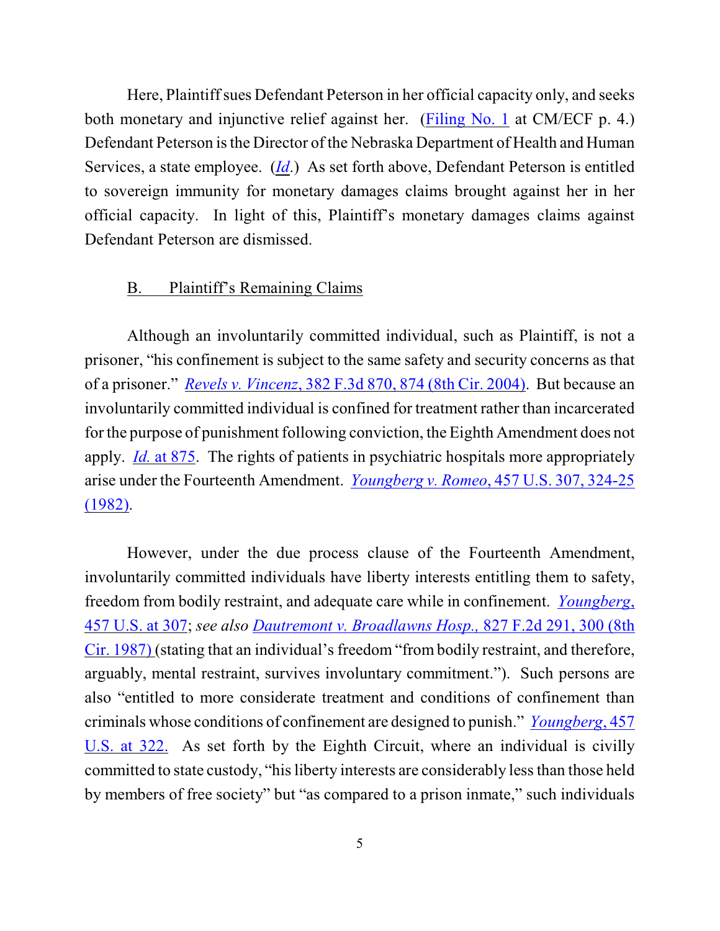Here, Plaintiffsues Defendant Peterson in her official capacity only, and seeks both monetary and injunctive relief against her. [\(Filing No. 1](https://ecf.ned.uscourts.gov/doc1/11301428667) at CM/ECF p. 4.) Defendant Peterson is the Director of the Nebraska Department of Health and Human Services, a state employee. (*[Id](https://ecf.ned.uscourts.gov/doc1/11301428667)*.) As set forth above, Defendant Peterson is entitled to sovereign immunity for monetary damages claims brought against her in her official capacity. In light of this, Plaintiff's monetary damages claims against Defendant Peterson are dismissed.

### B. Plaintiff's Remaining Claims

Although an involuntarily committed individual, such as Plaintiff, is not a prisoner, "his confinement is subject to the same safety and security concerns as that of a prisoner." *Revels v. Vincenz*, 382 F.3d 870, [874 \(8th Cir. 2004\)](http://web2.westlaw.com/find/default.wl?rs=WLW8.09&rp=%2ffind%2fdefault.wl&vr=2.0&fn=_top&mt=Westlaw&cite=382+F.3d+875&sv=Split). But because an involuntarily committed individual is confined for treatment rather than incarcerated for the purpose of punishment following conviction, the Eighth Amendment does not apply. *Id.* [at 875](http://web2.westlaw.com/find/default.wl?rs=WLW8.09&rp=%2ffind%2fdefault.wl&vr=2.0&fn=_top&mt=Westlaw&cite=382+F.3d+875&sv=Split). The rights of patients in psychiatric hospitals more appropriately arise under the Fourteenth Amendment. *Youngberg v. Romeo*[, 457 U.S. 307, 324-25](http://web2.westlaw.com/find/default.wl?rs=WLW8.09&rp=%2ffind%2fdefault.wl&vr=2.0&fn=_top&mt=Westlaw&cite=457+U.S.+324&sv=Split) [\(1982\)](http://web2.westlaw.com/find/default.wl?rs=WLW8.09&rp=%2ffind%2fdefault.wl&vr=2.0&fn=_top&mt=Westlaw&cite=457+U.S.+324&sv=Split).

However, under the due process clause of the Fourteenth Amendment, involuntarily committed individuals have liberty interests entitling them to safety, freedom from bodily restraint, and adequate care while in confinement. *[Youngberg](http://www.westlaw.com/find/default.wl?rs=CLWP3.0&vr=2.0&cite=457+U.S.+307)*, [457 U.S. at 307](http://www.westlaw.com/find/default.wl?rs=CLWP3.0&vr=2.0&cite=457+U.S.+307); *see also Dautremont v. Broadlawns Hosp.,* [827 F.2d 291, 300 \(8th](http://web2.westlaw.com/find/default.wl?rs=WLW8.09&rp=%2ffind%2fdefault.wl&vr=2.0&fn=_top&mt=Westlaw&cite=827+F.2d+291&sv=Split) [Cir. 1987\)](http://web2.westlaw.com/find/default.wl?rs=WLW8.09&rp=%2ffind%2fdefault.wl&vr=2.0&fn=_top&mt=Westlaw&cite=827+F.2d+291&sv=Split) (stating that an individual's freedom "from bodily restraint, and therefore, arguably, mental restraint, survives involuntary commitment."). Such persons are also "entitled to more considerate treatment and conditions of confinement than criminals whose conditions of confinement are designed to punish." *[Youngberg](http://www.westlaw.com/find/default.wl?rs=CLWP3.0&vr=2.0&cite=457+U.S.+307)*, 457 [U.S. at 322.](http://www.westlaw.com/find/default.wl?rs=CLWP3.0&vr=2.0&cite=457+U.S.+307) As set forth by the Eighth Circuit, where an individual is civilly committed to state custody, "his liberty interests are considerably less than those held by members of free society" but "as compared to a prison inmate," such individuals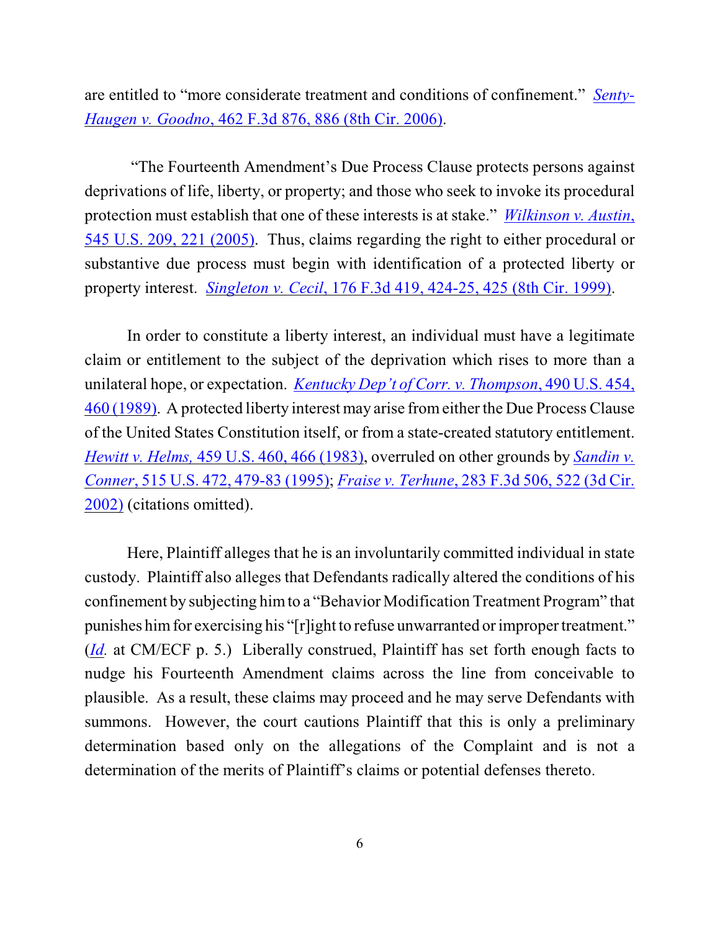are entitled to "more considerate treatment and conditions of confinement." *[Senty-](http://web2.westlaw.com/find/default.wl?fn=_top&rs=WLW8.09&rp=%2ffind%2fdefault.wl&vr=2.0&cite=462+F.3d+886)Haugen v. Goodno*[, 462 F.3d 876, 886 \(8th Cir. 2006\)](http://web2.westlaw.com/find/default.wl?fn=_top&rs=WLW8.09&rp=%2ffind%2fdefault.wl&vr=2.0&cite=462+F.3d+886).

 "The Fourteenth Amendment's Due Process Clause protects persons against deprivations of life, liberty, or property; and those who seek to invoke its procedural protection must establish that one of these interests is at stake." *[Wilkinson v. Austin](http://web2.westlaw.com/find/default.wl?fn=_top&rs=WLW8.09&rp=%2ffind%2fdefault.wl&vr=2.0&cite=545+U.S.+222)*, [545 U.S. 209, 221 \(2005\)](http://web2.westlaw.com/find/default.wl?fn=_top&rs=WLW8.09&rp=%2ffind%2fdefault.wl&vr=2.0&cite=545+U.S.+222). Thus, claims regarding the right to either procedural or substantive due process must begin with identification of a protected liberty or property interest. *Singleton v. Cecil*[, 176 F.3d 419, 424-25, 425 \(8th Cir. 1999\)](http://web2.westlaw.com/find/default.wl?fn=_top&rs=WLW8.09&rp=%2ffind%2fdefault.wl&vr=2.0&cite=176+F.3d+424).

In order to constitute a liberty interest, an individual must have a legitimate claim or entitlement to the subject of the deprivation which rises to more than a unilateral hope, or expectation. *Kentucky Dep't [of Corr. v. Thompson](http://web2.westlaw.com/find/default.wl?fn=_top&rs=WLW8.09&rp=%2ffind%2fdefault.wl&vr=2.0&cite=490+U.S.+459)*, 490 U.S. 454, [460 \(1989\)](http://web2.westlaw.com/find/default.wl?fn=_top&rs=WLW8.09&rp=%2ffind%2fdefault.wl&vr=2.0&cite=490+U.S.+459). A protected liberty interest may arise fromeither the Due Process Clause of the United States Constitution itself, or from a state-created statutory entitlement. *Hewitt v. Helms,* [459 U.S. 460, 466 \(1983\)](http://web2.westlaw.com/find/default.wl?fn=_top&rs=WLW8.09&rp=%2ffind%2fdefault.wl&vr=2.0&cite=459+U.S.+466), overruled on other grounds by *[Sandin v.](http://web2.westlaw.com/find/default.wl?fn=_top&rs=WLW8.09&rp=%2ffind%2fdefault.wl&vr=2.0&sv=Split&cite=515+U.S.+472) Conner*[, 515 U.S. 472, 479-83 \(1995\)](http://web2.westlaw.com/find/default.wl?fn=_top&rs=WLW8.09&rp=%2ffind%2fdefault.wl&vr=2.0&sv=Split&cite=515+U.S.+472); *Fraise v. Terhune*, 283 [F.3d 506, 522 \(3d Cir.](http://www.westlaw.com/find/default.wl?rs=CLWP3.0&vr=2.0&cite=283+F.3d+506) [2002\)](http://www.westlaw.com/find/default.wl?rs=CLWP3.0&vr=2.0&cite=283+F.3d+506) (citations omitted).

Here, Plaintiff alleges that he is an involuntarily committed individual in state custody. Plaintiff also alleges that Defendants radically altered the conditions of his confinement by subjecting himto a "Behavior Modification Treatment Program" that punishes him for exercising his "[r]ight to refuse unwarranted or improper treatment." (*[Id](https://ecf.ned.uscourts.gov/doc1/11301428667).* at CM/ECF p. 5.) Liberally construed, Plaintiff has set forth enough facts to nudge his Fourteenth Amendment claims across the line from conceivable to plausible. As a result, these claims may proceed and he may serve Defendants with summons. However, the court cautions Plaintiff that this is only a preliminary determination based only on the allegations of the Complaint and is not a determination of the merits of Plaintiff's claims or potential defenses thereto.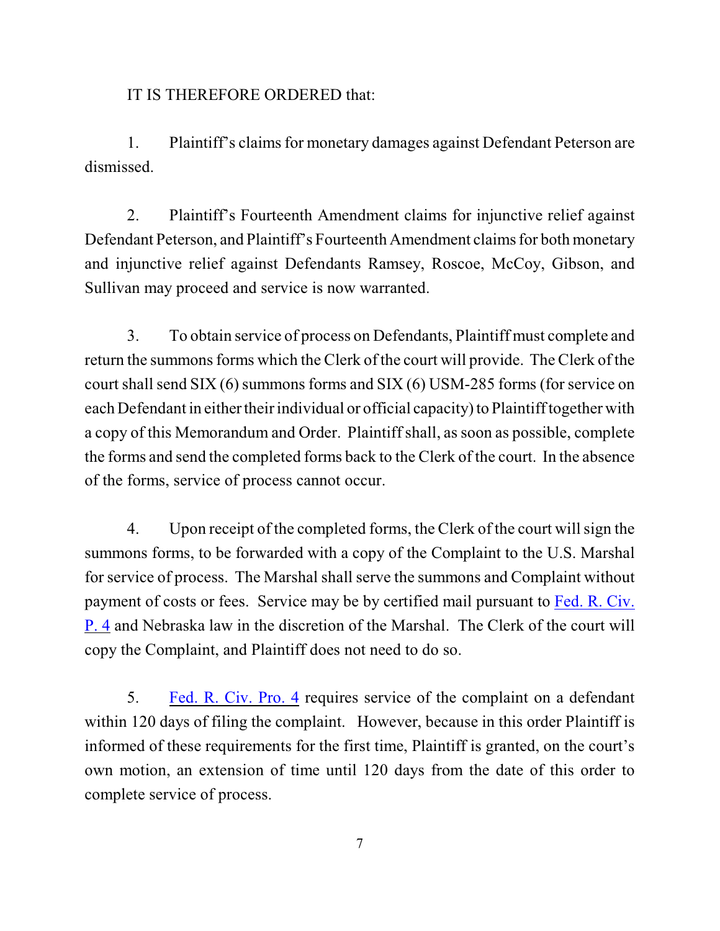IT IS THEREFORE ORDERED that:

1. Plaintiff's claims for monetary damages against Defendant Peterson are dismissed.

2. Plaintiff's Fourteenth Amendment claims for injunctive relief against Defendant Peterson, and Plaintiff's Fourteenth Amendment claims for both monetary and injunctive relief against Defendants Ramsey, Roscoe, McCoy, Gibson, and Sullivan may proceed and service is now warranted.

3. To obtain service of process on Defendants, Plaintiff must complete and return the summons forms which the Clerk of the court will provide. The Clerk of the court shall send SIX (6) summons forms and SIX (6) USM-285 forms (for service on each Defendant in either their individual or official capacity) to Plaintiff together with a copy of this Memorandum and Order. Plaintiffshall, assoon as possible, complete the forms and send the completed forms back to the Clerk of the court. In the absence of the forms, service of process cannot occur.

4. Upon receipt of the completed forms, the Clerk of the court will sign the summons forms, to be forwarded with a copy of the Complaint to the U.S. Marshal for service of process. The Marshal shall serve the summons and Complaint without payment of costs or fees. Service may be by certified mail pursuant to [Fed. R. Civ.](http://web2.westlaw.com/find/default.wl?fn=_top&rs=WLW8.09&rp=%2ffind%2fdefault.wl&vr=2.0&sv=Split&cite=Fed+R.+Civ.+Pro.+4) [P. 4](http://web2.westlaw.com/find/default.wl?fn=_top&rs=WLW8.09&rp=%2ffind%2fdefault.wl&vr=2.0&sv=Split&cite=Fed+R.+Civ.+Pro.+4) and Nebraska law in the discretion of the Marshal. The Clerk of the court will copy the Complaint, and Plaintiff does not need to do so.

5. [Fed. R. Civ. Pro. 4](http://web2.westlaw.com/find/default.wl?fn=_top&rs=WLW8.09&rp=%2ffind%2fdefault.wl&vr=2.0&sv=Split&cite=Fed+R.+Civ.+Pro.+4) requires service of the complaint on a defendant within 120 days of filing the complaint. However, because in this order Plaintiff is informed of these requirements for the first time, Plaintiff is granted, on the court's own motion, an extension of time until 120 days from the date of this order to complete service of process.